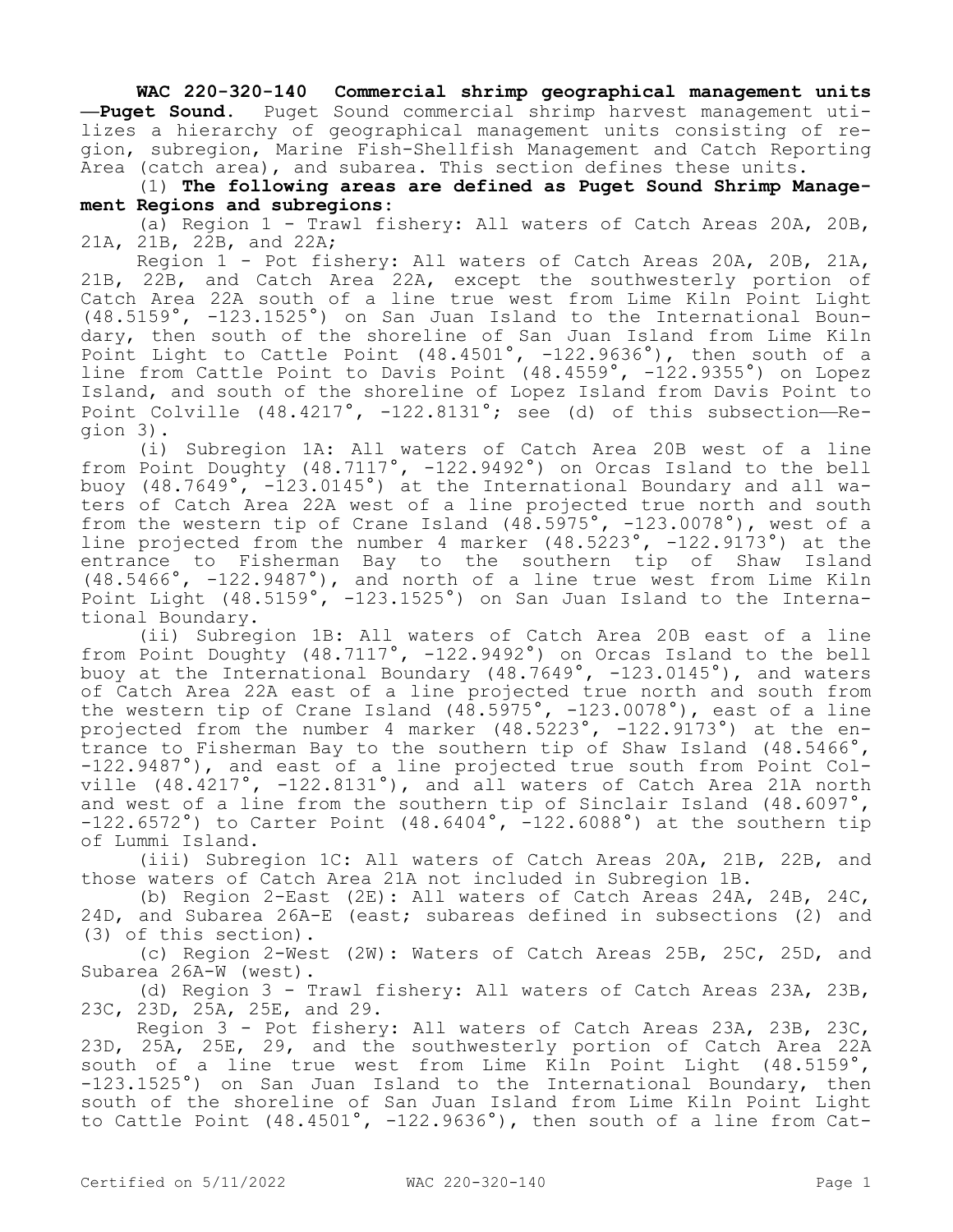**WAC 220-320-140 Commercial shrimp geographical management units —Puget Sound.** Puget Sound commercial shrimp harvest management utilizes a hierarchy of geographical management units consisting of region, subregion, Marine Fish-Shellfish Management and Catch Reporting Area (catch area), and subarea. This section defines these units.

(1) **The following areas are defined as Puget Sound Shrimp Management Regions and subregions**:

(a) Region 1 - Trawl fishery: All waters of Catch Areas 20A, 20B, 21A, 21B, 22B, and 22A;

Region 1 - Pot fishery: All waters of Catch Areas 20A, 20B, 21A, 21B, 22B, and Catch Area 22A, except the southwesterly portion of Catch Area 22A south of a line true west from Lime Kiln Point Light (48.5159°, -123.1525°) on San Juan Island to the International Boundary, then south of the shoreline of San Juan Island from Lime Kiln Point Light to Cattle Point (48.4501°, -122.9636°), then south of a line from Cattle Point to Davis Point (48.4559°, -122.9355°) on Lopez Island, and south of the shoreline of Lopez Island from Davis Point to Point Colville  $(48.4217^{\circ}, -122.8131^{\circ})$ ; see (d) of this subsection--Region 3).

(i) Subregion 1A: All waters of Catch Area 20B west of a line from Point Doughty (48.7117°, -122.9492°) on Orcas Island to the bell buoy (48.7649°, -123.0145°) at the International Boundary and all waters of Catch Area 22A west of a line projected true north and south from the western tip of Crane Island  $(48.5975^\circ, -123.0078^\circ)$ , west of a line projected from the number 4 marker (48.5223°, -122.9173°) at the entrance to Fisherman Bay to the southern tip of Shaw Island (48.5466°, -122.9487°), and north of a line true west from Lime Kiln Point Light (48.5159°, -123.1525°) on San Juan Island to the International Boundary.

(ii) Subregion 1B: All waters of Catch Area 20B east of a line from Point Doughty (48.7117°, -122.9492°) on Orcas Island to the bell buoy at the International Boundary (48.7649°, -123.0145°), and waters of Catch Area 22A east of a line projected true north and south from the western tip of Crane Island  $(48.5975^\circ, -123.0078^\circ)$ , east of a line projected from the number 4 marker (48.5223°, -122.9173°) at the entrance to Fisherman Bay to the southern tip of Shaw Island (48.5466°, -122.9487°), and east of a line projected true south from Point Colville  $(48.4217°, -122.8131°)$ , and all waters of Catch Area 21A north and west of a line from the southern tip of Sinclair Island (48.6097°,  $-122.6572°$ ) to Carter Point  $(48.6404°, -122.6088°)$  at the southern tip of Lummi Island.

(iii) Subregion 1C: All waters of Catch Areas 20A, 21B, 22B, and those waters of Catch Area 21A not included in Subregion 1B.

(b) Region 2-East (2E): All waters of Catch Areas 24A, 24B, 24C, 24D, and Subarea 26A-E (east; subareas defined in subsections (2) and (3) of this section).

(c) Region 2-West (2W): Waters of Catch Areas 25B, 25C, 25D, and Subarea 26A-W (west).

(d) Region 3 - Trawl fishery: All waters of Catch Areas 23A, 23B, 23C, 23D, 25A, 25E, and 29.

Region 3 - Pot fishery: All waters of Catch Areas 23A, 23B, 23C, 23D, 25A, 25E, 29, and the southwesterly portion of Catch Area 22A south of a line true west from Lime Kiln Point Light (48.5159°, -123.1525°) on San Juan Island to the International Boundary, then south of the shoreline of San Juan Island from Lime Kiln Point Light to Cattle Point (48.4501°, -122.9636°), then south of a line from Cat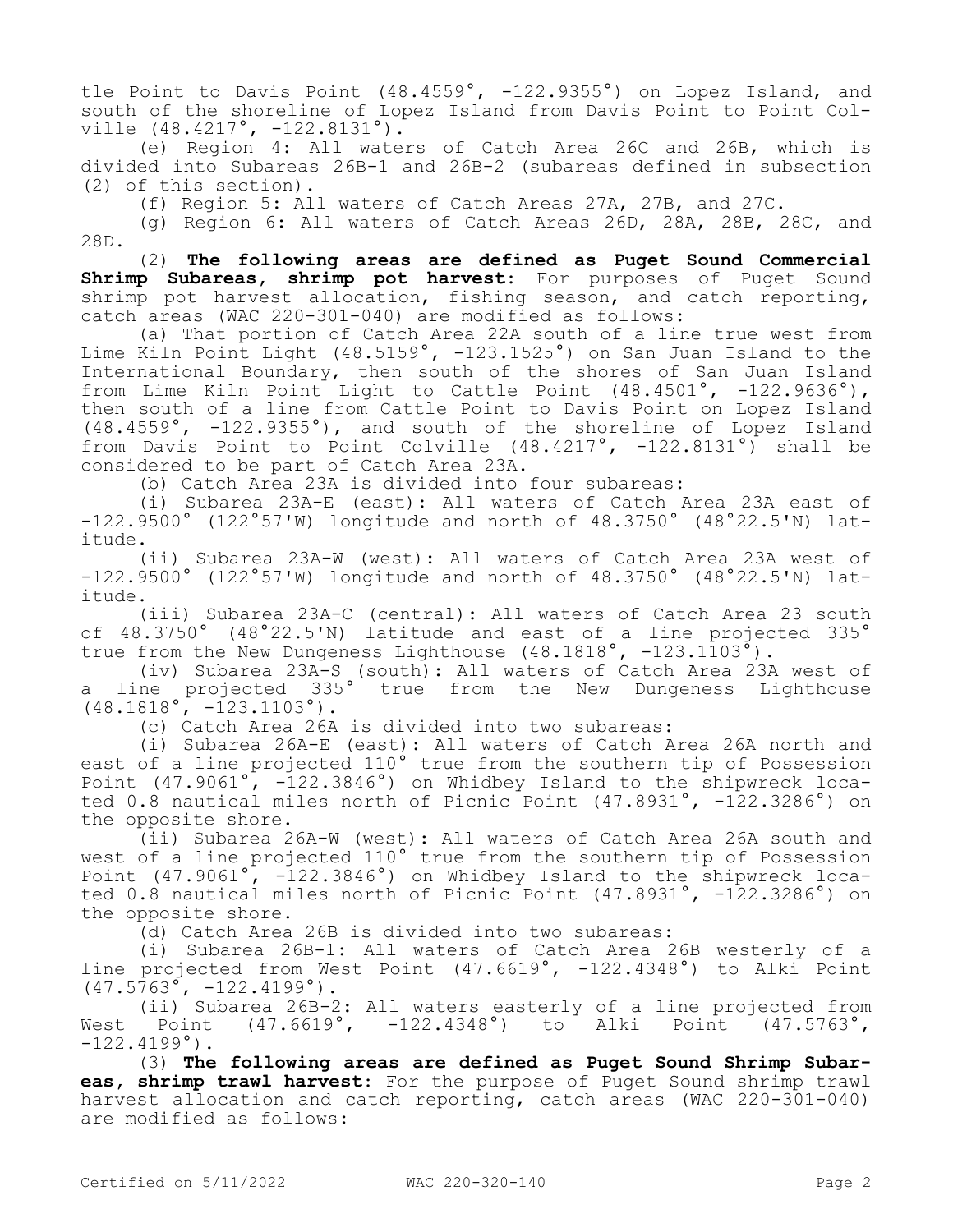tle Point to Davis Point (48.4559°, -122.9355°) on Lopez Island, and south of the shoreline of Lopez Island from Davis Point to Point Colville (48.4217°, -122.8131°).

(e) Region 4: All waters of Catch Area 26C and 26B, which is divided into Subareas 26B-1 and 26B-2 (subareas defined in subsection (2) of this section).

(f) Region 5: All waters of Catch Areas 27A, 27B, and 27C.

(g) Region 6: All waters of Catch Areas 26D, 28A, 28B, 28C, and 28D.

(2) **The following areas are defined as Puget Sound Commercial Shrimp Subareas, shrimp pot harvest**: For purposes of Puget Sound shrimp pot harvest allocation, fishing season, and catch reporting, catch areas (WAC 220-301-040) are modified as follows:

(a) That portion of Catch Area 22A south of a line true west from Lime Kiln Point Light (48.5159°, -123.1525°) on San Juan Island to the International Boundary, then south of the shores of San Juan Island from Lime Kiln Point Light to Cattle Point (48.4501°, -122.9636°), then south of a line from Cattle Point to Davis Point on Lopez Island (48.4559°, -122.9355°), and south of the shoreline of Lopez Island from Davis Point to Point Colville (48.4217°, -122.8131°) shall be considered to be part of Catch Area 23A.

(b) Catch Area 23A is divided into four subareas:

(i) Subarea 23A-E (east): All waters of Catch Area 23A east of -122.9500° (122°57'W) longitude and north of 48.3750° (48°22.5'N) latitude.

(ii) Subarea 23A-W (west): All waters of Catch Area 23A west of -122.9500° (122°57'W) longitude and north of 48.3750° (48°22.5'N) latitude.

(iii) Subarea 23A-C (central): All waters of Catch Area 23 south of 48.3750° (48°22.5'N) latitude and east of a line projected 335° true from the New Dungeness Lighthouse (48.1818°, -123.1103°).

(iv) Subarea 23A-S (south): All waters of Catch Area 23A west of a line projected 335° true from the New Dungeness Lighthouse  $(48.1818^{\circ}, -123.1103^{\circ}).$ 

(c) Catch Area 26A is divided into two subareas:

(i) Subarea 26A-E (east): All waters of Catch Area 26A north and east of a line projected 110° true from the southern tip of Possession Point (47.9061°, -122.3846°) on Whidbey Island to the shipwreck located 0.8 nautical miles north of Picnic Point (47.8931°, -122.3286°) on the opposite shore.

(ii) Subarea 26A-W (west): All waters of Catch Area 26A south and west of a line projected 110° true from the southern tip of Possession Point (47.9061°, -122.3846°) on Whidbey Island to the shipwreck located 0.8 nautical miles north of Picnic Point (47.8931°, -122.3286°) on the opposite shore.

(d) Catch Area 26B is divided into two subareas:

(i) Subarea 26B-1: All waters of Catch Area 26B westerly of a line projected from West Point (47.6619°, -122.4348°) to Alki Point  $(47.5763^{\circ}, -122.4199^{\circ})$ .

(ii) Subarea 26B-2: All waters easterly of a line projected from West Point (47.6619°, -122.4348°) to Alki Point (47.5763°,  $-122.4199°$ .

(3) **The following areas are defined as Puget Sound Shrimp Subareas, shrimp trawl harvest**: For the purpose of Puget Sound shrimp trawl harvest allocation and catch reporting, catch areas (WAC 220-301-040) are modified as follows: